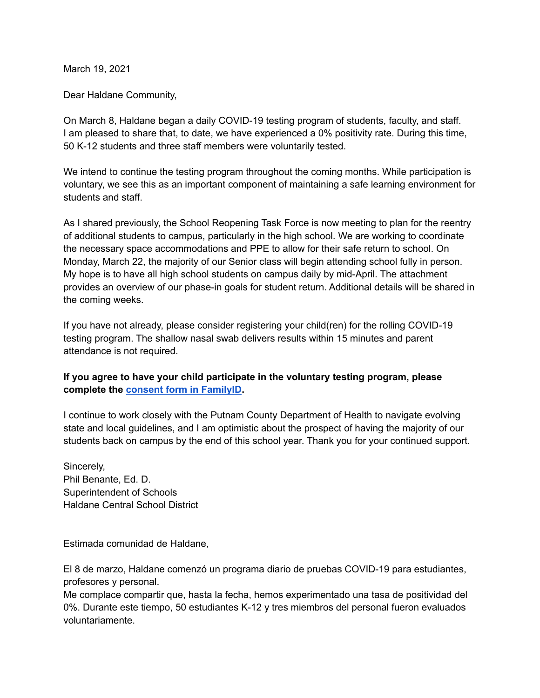March 19, 2021

Dear Haldane Community,

On March 8, Haldane began a daily COVID-19 testing program of students, faculty, and staff. I am pleased to share that, to date, we have experienced a 0% positivity rate. During this time, 50 K-12 students and three staff members were voluntarily tested.

We intend to continue the testing program throughout the coming months. While participation is voluntary, we see this as an important component of maintaining a safe learning environment for students and staff.

As I shared previously, the School Reopening Task Force is now meeting to plan for the reentry of additional students to campus, particularly in the high school. We are working to coordinate the necessary space accommodations and PPE to allow for their safe return to school. On Monday, March 22, the majority of our Senior class will begin attending school fully in person. My hope is to have all high school students on campus daily by mid-April. The attachment provides an overview of our phase-in goals for student return. Additional details will be shared in the coming weeks.

If you have not already, please consider registering your child(ren) for the rolling COVID-19 testing program. The shallow nasal swab delivers results within 15 minutes and parent attendance is not required.

#### **If you agree to have your child participate in the voluntary testing program, please complete the consent form in [FamilyID](https://www.familyid.com/haldane-csd/covid-19-testing-consent-16).**

I continue to work closely with the Putnam County Department of Health to navigate evolving state and local guidelines, and I am optimistic about the prospect of having the majority of our students back on campus by the end of this school year. Thank you for your continued support.

Sincerely, Phil Benante, Ed. D. Superintendent of Schools Haldane Central School District

Estimada comunidad de Haldane,

El 8 de marzo, Haldane comenzó un programa diario de pruebas COVID-19 para estudiantes, profesores y personal.

Me complace compartir que, hasta la fecha, hemos experimentado una tasa de positividad del 0%. Durante este tiempo, 50 estudiantes K-12 y tres miembros del personal fueron evaluados voluntariamente.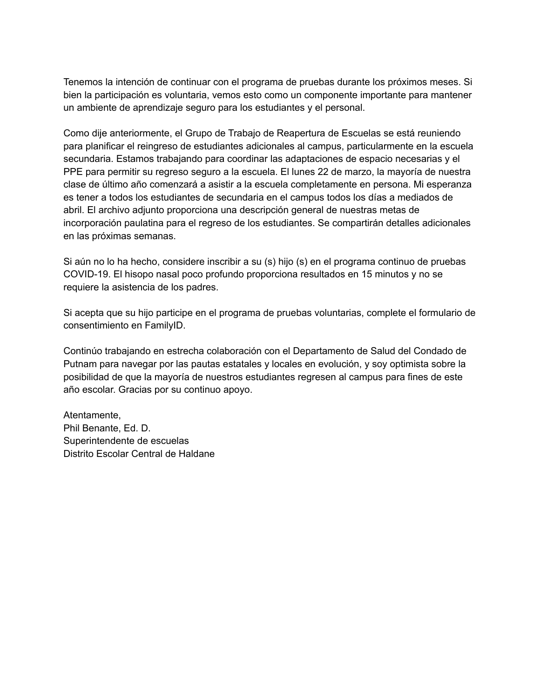Tenemos la intención de continuar con el programa de pruebas durante los próximos meses. Si bien la participación es voluntaria, vemos esto como un componente importante para mantener un ambiente de aprendizaje seguro para los estudiantes y el personal.

Como dije anteriormente, el Grupo de Trabajo de Reapertura de Escuelas se está reuniendo para planificar el reingreso de estudiantes adicionales al campus, particularmente en la escuela secundaria. Estamos trabajando para coordinar las adaptaciones de espacio necesarias y el PPE para permitir su regreso seguro a la escuela. El lunes 22 de marzo, la mayoría de nuestra clase de último año comenzará a asistir a la escuela completamente en persona. Mi esperanza es tener a todos los estudiantes de secundaria en el campus todos los días a mediados de abril. El archivo adjunto proporciona una descripción general de nuestras metas de incorporación paulatina para el regreso de los estudiantes. Se compartirán detalles adicionales en las próximas semanas.

Si aún no lo ha hecho, considere inscribir a su (s) hijo (s) en el programa continuo de pruebas COVID-19. El hisopo nasal poco profundo proporciona resultados en 15 minutos y no se requiere la asistencia de los padres.

Si acepta que su hijo participe en el programa de pruebas voluntarias, complete el formulario de consentimiento en FamilyID.

Continúo trabajando en estrecha colaboración con el Departamento de Salud del Condado de Putnam para navegar por las pautas estatales y locales en evolución, y soy optimista sobre la posibilidad de que la mayoría de nuestros estudiantes regresen al campus para fines de este año escolar. Gracias por su continuo apoyo.

Atentamente, Phil Benante, Ed. D. Superintendente de escuelas Distrito Escolar Central de Haldane